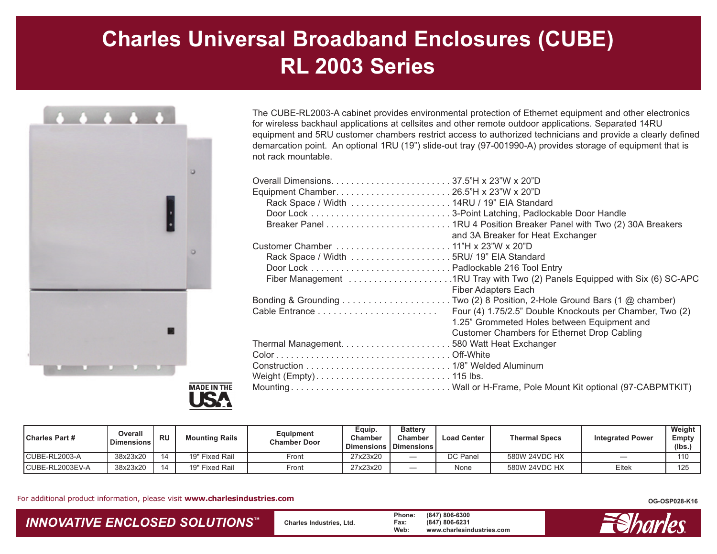## **Charles Universal Broadband Enclosures (CUBE) RL 2003 Series**





The CUBE-RL2003-A cabinet provides environmental protection of Ethernet equipment and other electronics for wireless backhaul applications at cellsites and other remote outdoor applications. Separated 14RU equipment and 5RU customer chambers restrict access to authorized technicians and provide a clearly defined demarcation point. An optional 1RU (19") slide-out tray (97-001990-A) provides storage of equipment that is not rack mountable.

| and 3A Breaker for Heat Exchanger                        |
|----------------------------------------------------------|
|                                                          |
|                                                          |
|                                                          |
|                                                          |
| <b>Fiber Adapters Each</b>                               |
|                                                          |
| Four (4) 1.75/2.5" Double Knockouts per Chamber, Two (2) |
| 1.25" Grommeted Holes between Equipment and              |
| Customer Chambers for Ethernet Drop Cabling              |
|                                                          |
|                                                          |
|                                                          |
|                                                          |
|                                                          |
|                                                          |

| l Charles Part # | Overall<br>Dimensions | <b>RU</b> | <b>Mounting Rails</b>    | Equipment<br><b>Chamber Door</b> | Equip.<br>Chambeı | <b>Battery</b><br><b>Chamber</b><br>Dimensions   Dimensions | <b>Load Center</b> | <b>Thermal Specs</b> | <b>Integrated Power</b> | Weight<br>Empty<br>(lbs.) |
|------------------|-----------------------|-----------|--------------------------|----------------------------------|-------------------|-------------------------------------------------------------|--------------------|----------------------|-------------------------|---------------------------|
| CUBE-RL2003-A    | 38x23x20              |           | 19" Fixed Rail           | Front                            | 27x23x20          |                                                             | DC Panel           | 580W 24VDC HX        |                         | 110                       |
| CUBE-RL2003EV-A  | 38x23x20              |           | <b>Fixed Rail</b><br>19" | Front                            | 27x23x20          |                                                             | None               | 580W 24VDC HX        | Eltek                   | 125                       |

For additional product information, please visit **www.charlesindustries.com**

## *INNOVATIVE ENCLOSED SOLUTIONS ™*

 **Charles Industries, Ltd. Phone: (847) 806-6300 Fax: (847) 806-6231 Web: www.charlesindustries.com**



**OG-OSP028-K16**